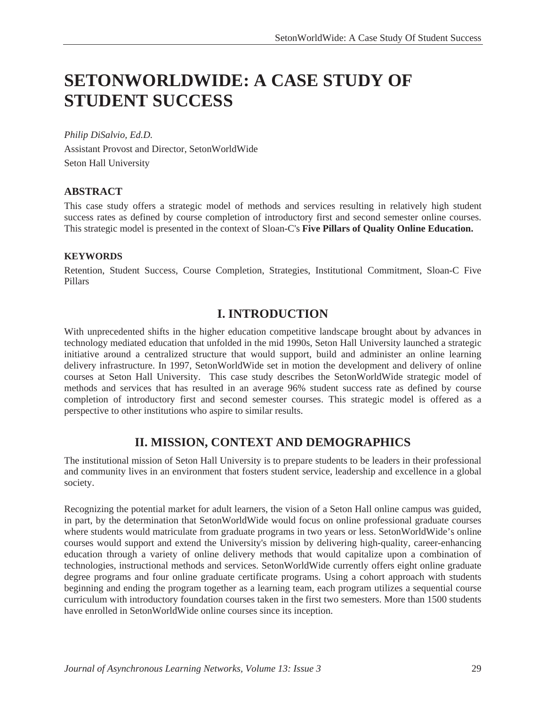# **SETONWORLDWIDE: A CASE STUDY OF STUDENT SUCCESS**

*Philip DiSalvio, Ed.D.*  Assistant Provost and Director, SetonWorldWide Seton Hall University

#### **ABSTRACT**

This case study offers a strategic model of methods and services resulting in relatively high student success rates as defined by course completion of introductory first and second semester online courses. This strategic model is presented in the context of Sloan-C's **Five Pillars of Quality Online Education.**

#### **KEYWORDS**

Retention, Student Success, Course Completion, Strategies, Institutional Commitment, Sloan-C Five Pillars

### **I. INTRODUCTION**

With unprecedented shifts in the higher education competitive landscape brought about by advances in technology mediated education that unfolded in the mid 1990s, Seton Hall University launched a strategic initiative around a centralized structure that would support, build and administer an online learning delivery infrastructure. In 1997, SetonWorldWide set in motion the development and delivery of online courses at Seton Hall University. This case study describes the SetonWorldWide strategic model of methods and services that has resulted in an average 96% student success rate as defined by course completion of introductory first and second semester courses. This strategic model is offered as a perspective to other institutions who aspire to similar results.

#### **II. MISSION, CONTEXT AND DEMOGRAPHICS**

The institutional mission of Seton Hall University is to prepare students to be leaders in their professional and community lives in an environment that fosters student service, leadership and excellence in a global society.

Recognizing the potential market for adult learners, the vision of a Seton Hall online campus was guided, in part, by the determination that SetonWorldWide would focus on online professional graduate courses where students would matriculate from graduate programs in two years or less. SetonWorldWide's online courses would support and extend the University's mission by delivering high-quality, career-enhancing education through a variety of online delivery methods that would capitalize upon a combination of technologies, instructional methods and services. SetonWorldWide currently offers eight online graduate degree programs and four online graduate certificate programs. Using a cohort approach with students beginning and ending the program together as a learning team, each program utilizes a sequential course curriculum with introductory foundation courses taken in the first two semesters. More than 1500 students have enrolled in SetonWorldWide online courses since its inception.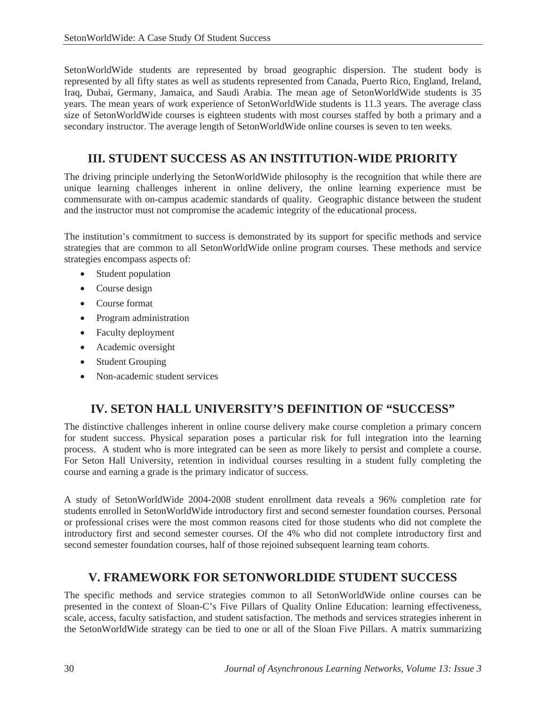SetonWorldWide students are represented by broad geographic dispersion. The student body is represented by all fifty states as well as students represented from Canada, Puerto Rico, England, Ireland, Iraq, Dubai, Germany, Jamaica, and Saudi Arabia. The mean age of SetonWorldWide students is 35 years. The mean years of work experience of SetonWorldWide students is 11.3 years. The average class size of SetonWorldWide courses is eighteen students with most courses staffed by both a primary and a secondary instructor. The average length of SetonWorldWide online courses is seven to ten weeks.

### **III. STUDENT SUCCESS AS AN INSTITUTION-WIDE PRIORITY**

The driving principle underlying the SetonWorldWide philosophy is the recognition that while there are unique learning challenges inherent in online delivery, the online learning experience must be commensurate with on-campus academic standards of quality. Geographic distance between the student and the instructor must not compromise the academic integrity of the educational process.

The institution's commitment to success is demonstrated by its support for specific methods and service strategies that are common to all SetonWorldWide online program courses. These methods and service strategies encompass aspects of:

- Student population
- Course design
- Course format
- Program administration
- Faculty deployment
- Academic oversight
- Student Grouping
- Non-academic student services

## **IV. SETON HALL UNIVERSITY'S DEFINITION OF "SUCCESS"**

The distinctive challenges inherent in online course delivery make course completion a primary concern for student success. Physical separation poses a particular risk for full integration into the learning process. A student who is more integrated can be seen as more likely to persist and complete a course. For Seton Hall University, retention in individual courses resulting in a student fully completing the course and earning a grade is the primary indicator of success.

A study of SetonWorldWide 2004-2008 student enrollment data reveals a 96% completion rate for students enrolled in SetonWorldWide introductory first and second semester foundation courses. Personal or professional crises were the most common reasons cited for those students who did not complete the introductory first and second semester courses. Of the 4% who did not complete introductory first and second semester foundation courses, half of those rejoined subsequent learning team cohorts.

#### **V. FRAMEWORK FOR SETONWORLDIDE STUDENT SUCCESS**

The specific methods and service strategies common to all SetonWorldWide online courses can be presented in the context of Sloan-C's Five Pillars of Quality Online Education: learning effectiveness, scale, access, faculty satisfaction, and student satisfaction. The methods and services strategies inherent in the SetonWorldWide strategy can be tied to one or all of the Sloan Five Pillars. A matrix summarizing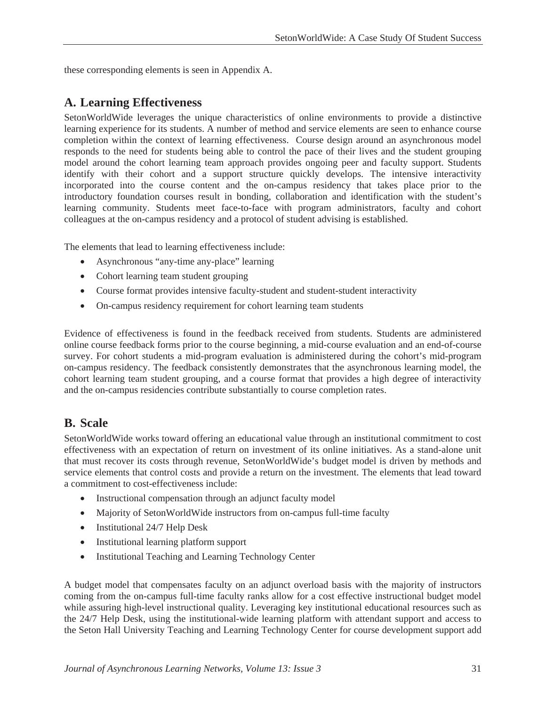these corresponding elements is seen in Appendix A.

### **A. Learning Effectiveness**

SetonWorldWide leverages the unique characteristics of online environments to provide a distinctive learning experience for its students. A number of method and service elements are seen to enhance course completion within the context of learning effectiveness. Course design around an asynchronous model responds to the need for students being able to control the pace of their lives and the student grouping model around the cohort learning team approach provides ongoing peer and faculty support. Students identify with their cohort and a support structure quickly develops. The intensive interactivity incorporated into the course content and the on-campus residency that takes place prior to the introductory foundation courses result in bonding, collaboration and identification with the student's learning community. Students meet face-to-face with program administrators, faculty and cohort colleagues at the on-campus residency and a protocol of student advising is established.

The elements that lead to learning effectiveness include:

- Asynchronous "any-time any-place" learning
- Cohort learning team student grouping
- Course format provides intensive faculty-student and student-student interactivity
- On-campus residency requirement for cohort learning team students

Evidence of effectiveness is found in the feedback received from students. Students are administered online course feedback forms prior to the course beginning, a mid-course evaluation and an end-of-course survey. For cohort students a mid-program evaluation is administered during the cohort's mid-program on-campus residency. The feedback consistently demonstrates that the asynchronous learning model, the cohort learning team student grouping, and a course format that provides a high degree of interactivity and the on-campus residencies contribute substantially to course completion rates.

#### **B. Scale**

SetonWorldWide works toward offering an educational value through an institutional commitment to cost effectiveness with an expectation of return on investment of its online initiatives. As a stand-alone unit that must recover its costs through revenue, SetonWorldWide's budget model is driven by methods and service elements that control costs and provide a return on the investment. The elements that lead toward a commitment to cost-effectiveness include:

- Instructional compensation through an adjunct faculty model
- Majority of SetonWorldWide instructors from on-campus full-time faculty
- Institutional 24/7 Help Desk
- Institutional learning platform support
- Institutional Teaching and Learning Technology Center

A budget model that compensates faculty on an adjunct overload basis with the majority of instructors coming from the on-campus full-time faculty ranks allow for a cost effective instructional budget model while assuring high-level instructional quality. Leveraging key institutional educational resources such as the 24/7 Help Desk, using the institutional-wide learning platform with attendant support and access to the Seton Hall University Teaching and Learning Technology Center for course development support add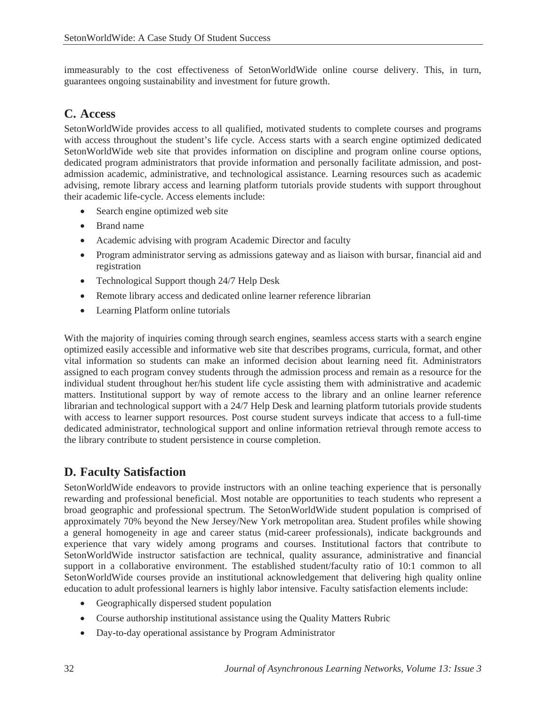immeasurably to the cost effectiveness of SetonWorldWide online course delivery. This, in turn, guarantees ongoing sustainability and investment for future growth.

#### **C. Access**

SetonWorldWide provides access to all qualified, motivated students to complete courses and programs with access throughout the student's life cycle. Access starts with a search engine optimized dedicated SetonWorldWide web site that provides information on discipline and program online course options, dedicated program administrators that provide information and personally facilitate admission, and postadmission academic, administrative, and technological assistance. Learning resources such as academic advising, remote library access and learning platform tutorials provide students with support throughout their academic life-cycle. Access elements include:

- Search engine optimized web site
- Brand name
- Academic advising with program Academic Director and faculty
- Program administrator serving as admissions gateway and as liaison with bursar, financial aid and registration
- Technological Support though 24/7 Help Desk
- Remote library access and dedicated online learner reference librarian
- Learning Platform online tutorials

With the majority of inquiries coming through search engines, seamless access starts with a search engine optimized easily accessible and informative web site that describes programs, curricula, format, and other vital information so students can make an informed decision about learning need fit. Administrators assigned to each program convey students through the admission process and remain as a resource for the individual student throughout her/his student life cycle assisting them with administrative and academic matters. Institutional support by way of remote access to the library and an online learner reference librarian and technological support with a 24/7 Help Desk and learning platform tutorials provide students with access to learner support resources. Post course student surveys indicate that access to a full-time dedicated administrator, technological support and online information retrieval through remote access to the library contribute to student persistence in course completion.

## **D. Faculty Satisfaction**

SetonWorldWide endeavors to provide instructors with an online teaching experience that is personally rewarding and professional beneficial. Most notable are opportunities to teach students who represent a broad geographic and professional spectrum. The SetonWorldWide student population is comprised of approximately 70% beyond the New Jersey/New York metropolitan area. Student profiles while showing a general homogeneity in age and career status (mid-career professionals), indicate backgrounds and experience that vary widely among programs and courses. Institutional factors that contribute to SetonWorldWide instructor satisfaction are technical, quality assurance, administrative and financial support in a collaborative environment. The established student/faculty ratio of 10:1 common to all SetonWorldWide courses provide an institutional acknowledgement that delivering high quality online education to adult professional learners is highly labor intensive. Faculty satisfaction elements include:

- Geographically dispersed student population
- Course authorship institutional assistance using the Quality Matters Rubric
- Day-to-day operational assistance by Program Administrator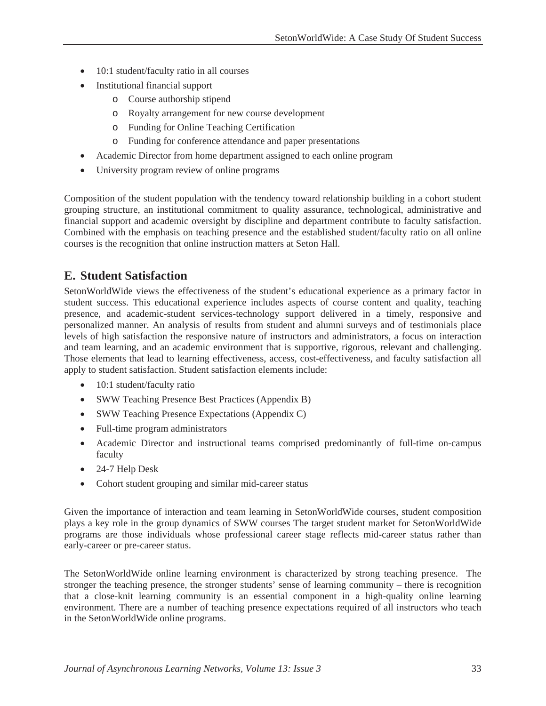- 10:1 student/faculty ratio in all courses
- Institutional financial support
	- o Course authorship stipend
	- o Royalty arrangement for new course development
	- o Funding for Online Teaching Certification
	- o Funding for conference attendance and paper presentations
- Academic Director from home department assigned to each online program
- University program review of online programs

Composition of the student population with the tendency toward relationship building in a cohort student grouping structure, an institutional commitment to quality assurance, technological, administrative and financial support and academic oversight by discipline and department contribute to faculty satisfaction. Combined with the emphasis on teaching presence and the established student/faculty ratio on all online courses is the recognition that online instruction matters at Seton Hall.

### **E. Student Satisfaction**

SetonWorldWide views the effectiveness of the student's educational experience as a primary factor in student success. This educational experience includes aspects of course content and quality, teaching presence, and academic-student services-technology support delivered in a timely, responsive and personalized manner. An analysis of results from student and alumni surveys and of testimonials place levels of high satisfaction the responsive nature of instructors and administrators, a focus on interaction and team learning, and an academic environment that is supportive, rigorous, relevant and challenging. Those elements that lead to learning effectiveness, access, cost-effectiveness, and faculty satisfaction all apply to student satisfaction. Student satisfaction elements include:

- 10:1 student/faculty ratio
- SWW Teaching Presence Best Practices (Appendix B)
- SWW Teaching Presence Expectations (Appendix C)
- Full-time program administrators
- Academic Director and instructional teams comprised predominantly of full-time on-campus faculty
- 24-7 Help Desk
- Cohort student grouping and similar mid-career status

Given the importance of interaction and team learning in SetonWorldWide courses, student composition plays a key role in the group dynamics of SWW courses The target student market for SetonWorldWide programs are those individuals whose professional career stage reflects mid-career status rather than early-career or pre-career status.

The SetonWorldWide online learning environment is characterized by strong teaching presence. The stronger the teaching presence, the stronger students' sense of learning community – there is recognition that a close-knit learning community is an essential component in a high-quality online learning environment. There are a number of teaching presence expectations required of all instructors who teach in the SetonWorldWide online programs.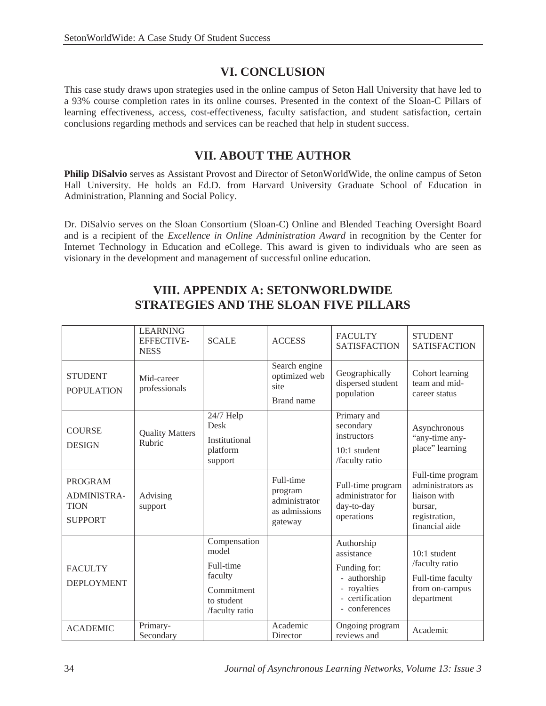# **VI. CONCLUSION**

This case study draws upon strategies used in the online campus of Seton Hall University that have led to a 93% course completion rates in its online courses. Presented in the context of the Sloan-C Pillars of learning effectiveness, access, cost-effectiveness, faculty satisfaction, and student satisfaction, certain conclusions regarding methods and services can be reached that help in student success.

### **VII. ABOUT THE AUTHOR**

**Philip DiSalvio** serves as Assistant Provost and Director of SetonWorldWide, the online campus of Seton Hall University. He holds an Ed.D. from Harvard University Graduate School of Education in Administration, Planning and Social Policy.

Dr. DiSalvio serves on the Sloan Consortium (Sloan-C) Online and Blended Teaching Oversight Board and is a recipient of the *Excellence in Online Administration Award* in recognition by the Center for Internet Technology in Education and eCollege. This award is given to individuals who are seen as visionary in the development and management of successful online education.

# **VIII. APPENDIX A: SETONWORLDWIDE STRATEGIES AND THE SLOAN FIVE PILLARS**

|                                                                | <b>LEARNING</b><br><b>EFFECTIVE-</b><br><b>NESS</b> | <b>SCALE</b>                                                                                | <b>ACCESS</b>                                                     | <b>FACULTY</b><br><b>SATISFACTION</b>                                                                       | <b>STUDENT</b><br><b>SATISFACTION</b>                                                                |
|----------------------------------------------------------------|-----------------------------------------------------|---------------------------------------------------------------------------------------------|-------------------------------------------------------------------|-------------------------------------------------------------------------------------------------------------|------------------------------------------------------------------------------------------------------|
| <b>STUDENT</b><br><b>POPULATION</b>                            | Mid-career<br>professionals                         |                                                                                             | Search engine<br>optimized web<br>site<br>Brand name              | Geographically<br>dispersed student<br>population                                                           | Cohort learning<br>team and mid-<br>career status                                                    |
| <b>COURSE</b><br><b>DESIGN</b>                                 | <b>Quality Matters</b><br>Rubric                    | 24/7 Help<br>Desk<br>Institutional<br>platform<br>support                                   |                                                                   | Primary and<br>secondary<br>instructors<br>10:1 student<br>/faculty ratio                                   | Asynchronous<br>"any-time any-<br>place" learning                                                    |
| <b>PROGRAM</b><br>ADMINISTRA-<br><b>TION</b><br><b>SUPPORT</b> | Advising<br>support                                 |                                                                                             | Full-time<br>program<br>administrator<br>as admissions<br>gateway | Full-time program<br>administrator for<br>day-to-day<br>operations                                          | Full-time program<br>administrators as<br>liaison with<br>bursar.<br>registration,<br>financial aide |
| <b>FACULTY</b><br><b>DEPLOYMENT</b>                            |                                                     | Compensation<br>model<br>Full-time<br>faculty<br>Commitment<br>to student<br>/faculty ratio |                                                                   | Authorship<br>assistance<br>Funding for:<br>- authorship<br>- royalties<br>- certification<br>- conferences | $10:1$ student<br>/faculty ratio<br>Full-time faculty<br>from on-campus<br>department                |
| <b>ACADEMIC</b>                                                | Primary-<br>Secondary                               |                                                                                             | Academic<br>Director                                              | Ongoing program<br>reviews and                                                                              | Academic                                                                                             |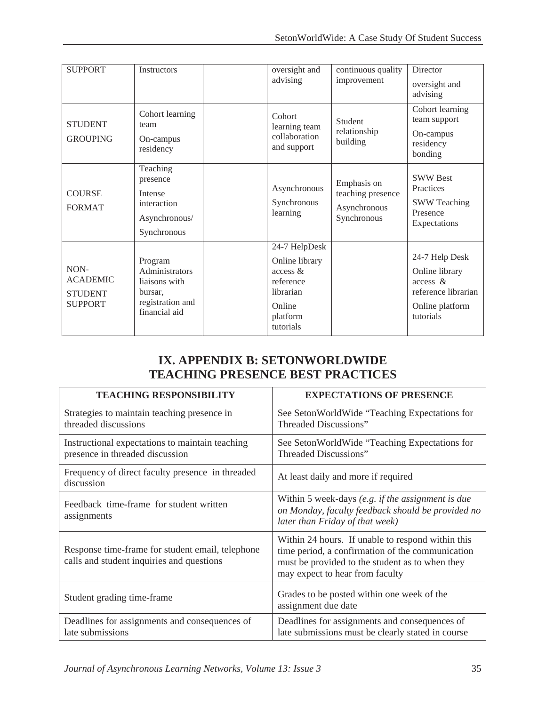| <b>SUPPORT</b>                                              | <b>Instructors</b>                                                                         | oversight and                                                                                            | continuous quality                                              | Director                                                                                            |
|-------------------------------------------------------------|--------------------------------------------------------------------------------------------|----------------------------------------------------------------------------------------------------------|-----------------------------------------------------------------|-----------------------------------------------------------------------------------------------------|
|                                                             |                                                                                            | advising                                                                                                 | improvement                                                     | oversight and                                                                                       |
|                                                             |                                                                                            |                                                                                                          |                                                                 | advising                                                                                            |
| <b>STUDENT</b><br><b>GROUPING</b>                           | Cohort learning<br>team<br>On-campus<br>residency                                          | Cohort<br>learning team<br>collaboration<br>and support                                                  | Student<br>relationship<br>building                             | Cohort learning<br>team support<br>On-campus<br>residency<br>bonding                                |
| <b>COURSE</b><br><b>FORMAT</b>                              | Teaching<br>presence<br>Intense<br>interaction<br>Asynchronous/<br>Synchronous             | Asynchronous<br>Synchronous<br>learning                                                                  | Emphasis on<br>teaching presence<br>Asynchronous<br>Synchronous | <b>SWW Best</b><br>Practices<br><b>SWW Teaching</b><br>Presence<br>Expectations                     |
| NON-<br><b>ACADEMIC</b><br><b>STUDENT</b><br><b>SUPPORT</b> | Program<br>Administrators<br>liaisons with<br>bursar.<br>registration and<br>financial aid | 24-7 HelpDesk<br>Online library<br>access &<br>reference<br>librarian<br>Online<br>platform<br>tutorials |                                                                 | 24-7 Help Desk<br>Online library<br>access &<br>reference librarian<br>Online platform<br>tutorials |

# **IX. APPENDIX B: SETONWORLDWIDE TEACHING PRESENCE BEST PRACTICES**

| <b>TEACHING RESPONSIBILITY</b>                                                                | <b>EXPECTATIONS OF PRESENCE</b>                                                                                                                                                             |  |  |
|-----------------------------------------------------------------------------------------------|---------------------------------------------------------------------------------------------------------------------------------------------------------------------------------------------|--|--|
| Strategies to maintain teaching presence in<br>threaded discussions                           | See Seton World Wide "Teaching Expectations for<br>Threaded Discussions"                                                                                                                    |  |  |
| Instructional expectations to maintain teaching<br>presence in threaded discussion            | See Seton World Wide "Teaching Expectations for<br><b>Threaded Discussions"</b>                                                                                                             |  |  |
| Frequency of direct faculty presence in threaded<br>discussion                                | At least daily and more if required                                                                                                                                                         |  |  |
| Feedback time-frame for student written<br>assignments                                        | Within 5 week-days (e.g. if the assignment is due<br>on Monday, faculty feedback should be provided no<br>later than Friday of that week)                                                   |  |  |
| Response time-frame for student email, telephone<br>calls and student inquiries and questions | Within 24 hours. If unable to respond within this<br>time period, a confirmation of the communication<br>must be provided to the student as to when they<br>may expect to hear from faculty |  |  |
| Student grading time-frame                                                                    | Grades to be posted within one week of the<br>assignment due date                                                                                                                           |  |  |
| Deadlines for assignments and consequences of<br>late submissions                             | Deadlines for assignments and consequences of<br>late submissions must be clearly stated in course                                                                                          |  |  |